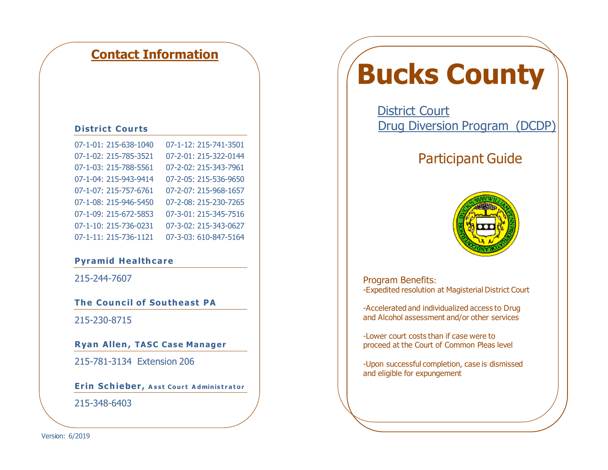## **Contact Information**

#### **District Courts**

| 07-1-01: 215-638-1040 | 07-1-12: 215-741-3501 |
|-----------------------|-----------------------|
| 07-1-02: 215-785-3521 | 07-2-01: 215-322-0144 |
| 07-1-03: 215-788-5561 | 07-2-02: 215-343-7961 |
| 07-1-04: 215-943-9414 | 07-2-05: 215-536-9650 |
| 07-1-07: 215-757-6761 | 07-2-07: 215-968-1657 |
| 07-1-08: 215-946-5450 | 07-2-08: 215-230-7265 |
| 07-1-09: 215-672-5853 | 07-3-01: 215-345-7516 |
| 07-1-10: 215-736-0231 | 07-3-02: 215-343-0627 |
| 07-1-11: 215-736-1121 | 07-3-03: 610-847-5164 |

#### **Pyramid Healthcare**

215-244-7607

**The Council of Southeast PA**

215-230-8715

**Ryan Allen, TASC Case Manager**

215-781-3134 Extension 206

**Erin Schieber, Asst Court Administrator** 215-348-6403

# **Bucks County**

District Court Drug Diversion Program (DCDP)

## Participant Guide



Program Benefits: -Expedited resolution at Magisterial District Court

-Accelerated and individualized access to Drug and Alcohol assessment and/or other services

-Lower court costs than if case were to proceed at the Court of Common Pleas level

-Upon successful completion, case is dismissed and eligible for expungement